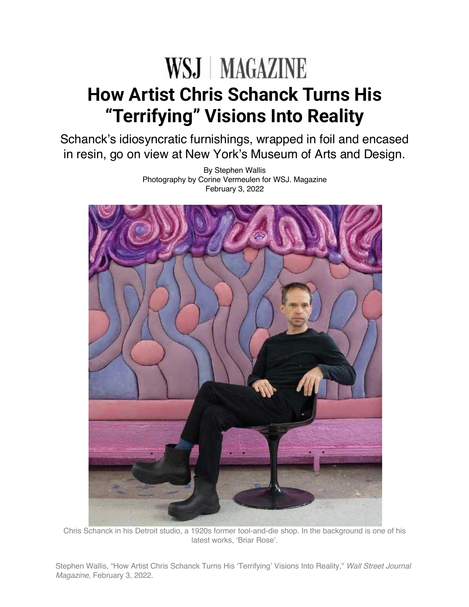## WSJ MAGAZINE **How Artist Chris Schanck Turns His "Terrifying" Visions Into Reality**

Schanck's idiosyncratic furnishings, wrapped in foil and encased in resin, go on view at New York's Museum of Arts and Design.

> By Stephen Wallis Photography by Corine Vermeulen for WSJ. Magazine February 3, 2022



Chris Schanck in his Detroit studio, a 1920s former tool-and-die shop. In the background is one of his latest works, 'Briar Rose'.

Stephen Wallis, "How Artist Chris Schanck Turns His 'Terrifying' Visions Into Reality," *Wall Street Journal Magazine*, February 3, 2022.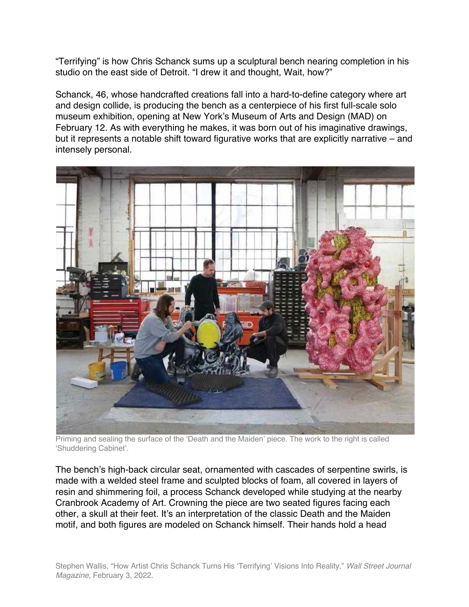"Terrifying" is how Chris Schanck sums up a sculptural bench nearing completion in his studio on the east side of Detroit. "I drew it and thought, Wait, how?"

Schanck, 46, whose handcrafted creations fall into a hard-to-define category where art and design collide, is producing the bench as a centerpiece of his first full-scale solo museum exhibition, opening at New York's Museum of Arts and Design (MAD) on February 12. As with everything he makes, it was born out of his imaginative drawings, but it represents a notable shift toward figurative works that are explicitly narrative – and intensely personal.



Priming and sealing the surface of the 'Death and the Maiden' piece. The work to the right is called 'Shuddering Cabinet'.

The bench's high-back circular seat, ornamented with cascades of serpentine swirls, is made with a welded steel frame and sculpted blocks of foam, all covered in layers of resin and shimmering foil, a process Schanck developed while studying at the nearby Cranbrook Academy of Art. Crowning the piece are two seated figures facing each other, a skull at their feet. It's an interpretation of the classic Death and the Maiden motif, and both figures are modeled on Schanck himself. Their hands hold a head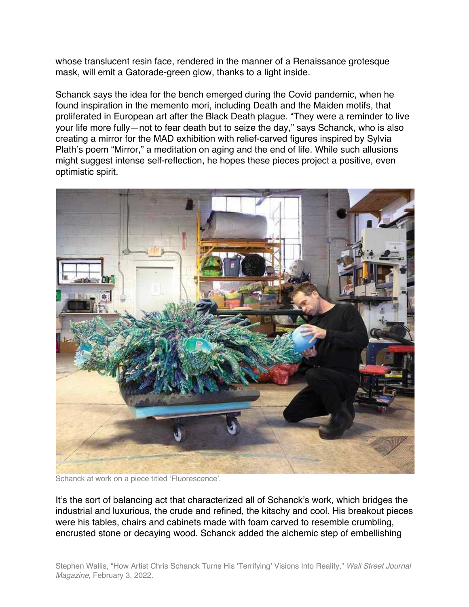whose translucent resin face, rendered in the manner of a Renaissance grotesque mask, will emit a Gatorade-green glow, thanks to a light inside.

Schanck says the idea for the bench emerged during the Covid pandemic, when he found inspiration in the memento mori, including Death and the Maiden motifs, that proliferated in European art after the Black Death plague. "They were a reminder to live your life more fully—not to fear death but to seize the day," says Schanck, who is also creating a mirror for the MAD exhibition with relief-carved figures inspired by Sylvia Plath's poem "Mirror," a meditation on aging and the end of life. While such allusions might suggest intense self-reflection, he hopes these pieces project a positive, even optimistic spirit.



Schanck at work on a piece titled 'Fluorescence'.

It's the sort of balancing act that characterized all of Schanck's work, which bridges the industrial and luxurious, the crude and refined, the kitschy and cool. His breakout pieces were his tables, chairs and cabinets made with foam carved to resemble crumbling, encrusted stone or decaying wood. Schanck added the alchemic step of embellishing